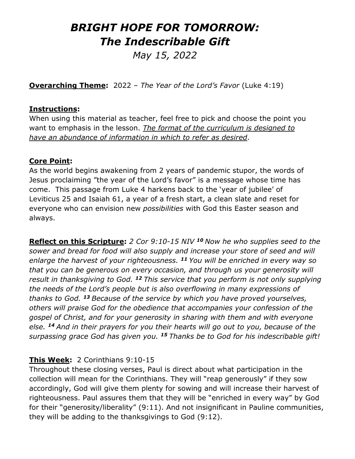# *BRIGHT HOPE FOR TOMORROW: The Indescribable Gift*

*May 15, 2022* 

**Overarching Theme:** 2022 – *The Year of the Lord's Favor* (Luke 4:19)

#### **Instructions:**

When using this material as teacher, feel free to pick and choose the point you want to emphasis in the lesson. *The format of the curriculum is designed to have an abundance of information in which to refer as desired*.

#### **Core Point:**

As the world begins awakening from 2 years of pandemic stupor, the words of Jesus proclaiming "the year of the Lord's favor" is a message whose time has come. This passage from Luke 4 harkens back to the 'year of jubilee' of Leviticus 25 and Isaiah 61, a year of a fresh start, a clean slate and reset for everyone who can envision new *possibilities* with God this Easter season and always.

**Reflect on this Scripture:** *2 Cor 9:10-15 NIV <sup>10</sup> Now he who supplies seed to the sower and bread for food will also supply and increase your store of seed and will enlarge the harvest of your righteousness. <sup>11</sup> You will be enriched in every way so that you can be generous on every occasion, and through us your generosity will result in thanksgiving to God. <sup>12</sup> This service that you perform is not only supplying the needs of the Lord's people but is also overflowing in many expressions of thanks to God. <sup>13</sup> Because of the service by which you have proved yourselves, others will praise God for the obedience that accompanies your confession of the gospel of Christ, and for your generosity in sharing with them and with everyone else. <sup>14</sup> And in their prayers for you their hearts will go out to you, because of the surpassing grace God has given you. <sup>15</sup> Thanks be to God for his indescribable gift!*

### **This Week:** 2 Corinthians 9:10-15

Throughout these closing verses, Paul is direct about what participation in the collection will mean for the Corinthians. They will "reap generously" if they sow accordingly, God will give them plenty for sowing and will increase their harvest of righteousness. Paul assures them that they will be "enriched in every way" by God for their "generosity/liberality" (9:11). And not insignificant in Pauline communities, they will be adding to the thanksgivings to God (9:12).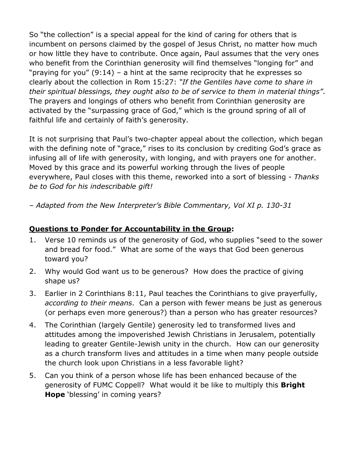So "the collection" is a special appeal for the kind of caring for others that is incumbent on persons claimed by the gospel of Jesus Christ, no matter how much or how little they have to contribute. Once again, Paul assumes that the very ones who benefit from the Corinthian generosity will find themselves "longing for" and "praying for you" (9:14) – a hint at the same reciprocity that he expresses so clearly about the collection in Rom 15:27: *"If the Gentiles have come to share in their spiritual blessings, they ought also to be of service to them in material things"*. The prayers and longings of others who benefit from Corinthian generosity are activated by the "surpassing grace of God," which is the ground spring of all of faithful life and certainly of faith's generosity.

It is not surprising that Paul's two-chapter appeal about the collection, which began with the defining note of "grace," rises to its conclusion by crediting God's grace as infusing all of life with generosity, with longing, and with prayers one for another. Moved by this grace and its powerful working through the lives of people everywhere, Paul closes with this theme, reworked into a sort of blessing - *Thanks be to God for his indescribable gift!*

*– Adapted from the New Interpreter's Bible Commentary, Vol XI p. 130-31*

## **Questions to Ponder for Accountability in the Group:**

- 1. Verse 10 reminds us of the generosity of God, who supplies "seed to the sower and bread for food." What are some of the ways that God been generous toward you?
- 2. Why would God want us to be generous? How does the practice of giving shape us?
- 3. Earlier in 2 Corinthians 8:11, Paul teaches the Corinthians to give prayerfully, *according to their means*. Can a person with fewer means be just as generous (or perhaps even more generous?) than a person who has greater resources?
- 4. The Corinthian (largely Gentile) generosity led to transformed lives and attitudes among the impoverished Jewish Christians in Jerusalem, potentially leading to greater Gentile-Jewish unity in the church. How can our generosity as a church transform lives and attitudes in a time when many people outside the church look upon Christians in a less favorable light?
- 5. Can you think of a person whose life has been enhanced because of the generosity of FUMC Coppell? What would it be like to multiply this **Bright Hope** 'blessing' in coming years?